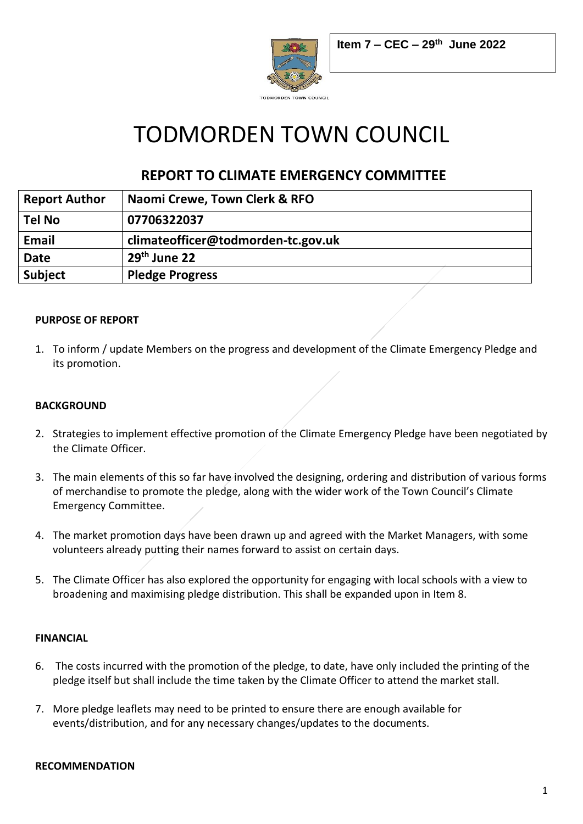

# TODMORDEN TOWN COUNCIL

## **REPORT TO CLIMATE EMERGENCY COMMITTEE**

| <b>Report Author</b> | Naomi Crewe, Town Clerk & RFO      |
|----------------------|------------------------------------|
| <b>Tel No</b>        | 07706322037                        |
| Email                | climateofficer@todmorden-tc.gov.uk |
| <b>Date</b>          | $29th$ June 22                     |
| <b>Subject</b>       | <b>Pledge Progress</b>             |

#### **PURPOSE OF REPORT**

1. To inform / update Members on the progress and development of the Climate Emergency Pledge and its promotion.

#### **BACKGROUND**

- 2. Strategies to implement effective promotion of the Climate Emergency Pledge have been negotiated by the Climate Officer.
- 3. The main elements of this so far have involved the designing, ordering and distribution of various forms of merchandise to promote the pledge, along with the wider work of the Town Council's Climate Emergency Committee.
- 4. The market promotion days have been drawn up and agreed with the Market Managers, with some volunteers already putting their names forward to assist on certain days.
- 5. The Climate Officer has also explored the opportunity for engaging with local schools with a view to broadening and maximising pledge distribution. This shall be expanded upon in Item 8.

#### **FINANCIAL**

- 6. The costs incurred with the promotion of the pledge, to date, have only included the printing of the pledge itself but shall include the time taken by the Climate Officer to attend the market stall.
- 7. More pledge leaflets may need to be printed to ensure there are enough available for events/distribution, and for any necessary changes/updates to the documents.

#### **RECOMMENDATION**